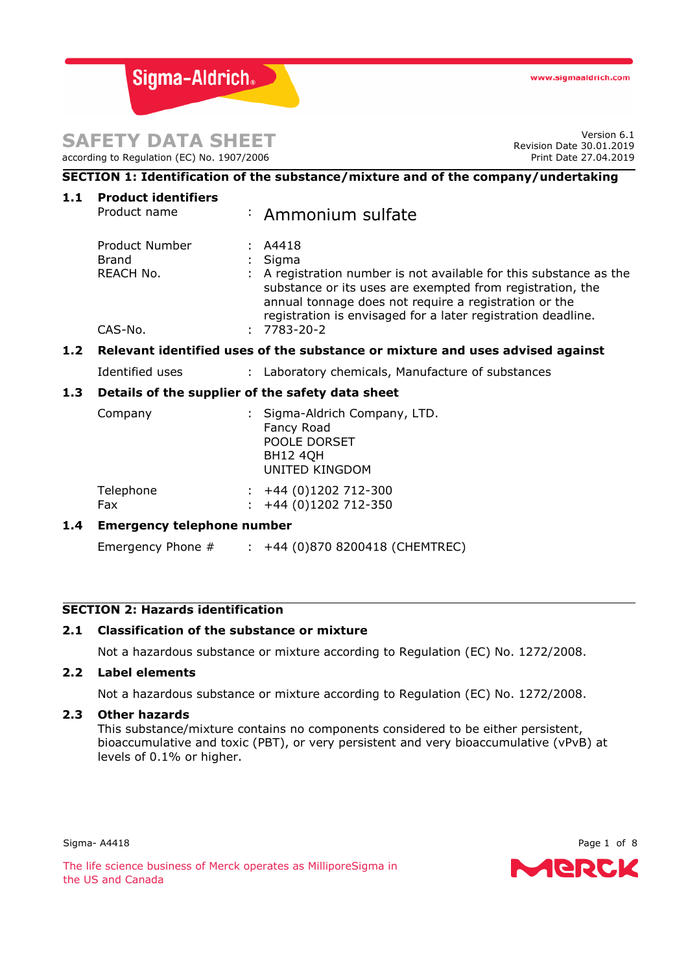Sigma-Aldrich®

# **SAFETY DATA SHEET**

according to Regulation (EC) No. 1907/2006

Version 6.1 Revision Date 30.01.2019 Print Date 27.04.2019

| SECTION 1: Identification of the substance/mixture and of the company/undertaking |                                                                               |  |                                                                                                                                                                                                                                                                                                   |  |  |
|-----------------------------------------------------------------------------------|-------------------------------------------------------------------------------|--|---------------------------------------------------------------------------------------------------------------------------------------------------------------------------------------------------------------------------------------------------------------------------------------------------|--|--|
| 1.1                                                                               | <b>Product identifiers</b><br>Product name                                    |  | : Ammonium sulfate                                                                                                                                                                                                                                                                                |  |  |
|                                                                                   | Product Number<br><b>Brand</b><br>REACH No.<br>CAS-No.                        |  | : A4418<br>Sigma<br>: A registration number is not available for this substance as the<br>substance or its uses are exempted from registration, the<br>annual tonnage does not require a registration or the<br>registration is envisaged for a later registration deadline.<br>$: 7783 - 20 - 2$ |  |  |
| $1.2$                                                                             | Relevant identified uses of the substance or mixture and uses advised against |  |                                                                                                                                                                                                                                                                                                   |  |  |
|                                                                                   | Identified uses                                                               |  | : Laboratory chemicals, Manufacture of substances                                                                                                                                                                                                                                                 |  |  |
| 1.3                                                                               | Details of the supplier of the safety data sheet                              |  |                                                                                                                                                                                                                                                                                                   |  |  |
|                                                                                   | Company                                                                       |  | : Sigma-Aldrich Company, LTD.<br>Fancy Road<br>POOLE DORSET<br><b>BH12 4QH</b><br><b>UNITED KINGDOM</b>                                                                                                                                                                                           |  |  |
|                                                                                   | Telephone<br>Fax                                                              |  | $\div$ +44 (0)1202 712-300<br>+44 (0)1202 712-350                                                                                                                                                                                                                                                 |  |  |
| $1.4^{\circ}$                                                                     | <b>Emergency telephone number</b>                                             |  |                                                                                                                                                                                                                                                                                                   |  |  |

Emergency Phone # : +44 (0)870 8200418 (CHEMTREC)

# **SECTION 2: Hazards identification**

# **2.1 Classification of the substance or mixture**

Not a hazardous substance or mixture according to Regulation (EC) No. 1272/2008.

# **2.2 Label elements**

Not a hazardous substance or mixture according to Regulation (EC) No. 1272/2008.

# **2.3 Other hazards**

This substance/mixture contains no components considered to be either persistent, bioaccumulative and toxic (PBT), or very persistent and very bioaccumulative (vPvB) at levels of 0.1% or higher.

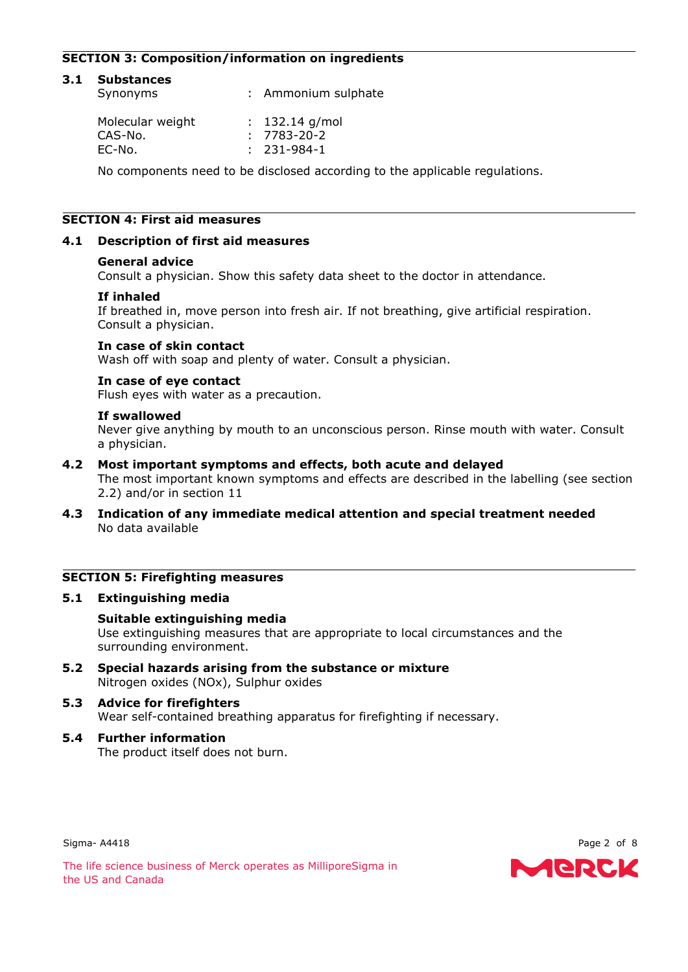# **SECTION 3: Composition/information on ingredients**

| 3.1 | <b>Substances</b><br>Synonyms | : Ammonium sulphate                   |  |
|-----|-------------------------------|---------------------------------------|--|
|     | Molecular weight<br>CAS-No.   | $: 132.14$ g/mol<br>$: 7783 - 20 - 2$ |  |
|     | EC-No.                        | $: 231 - 984 - 1$                     |  |

No components need to be disclosed according to the applicable regulations.

# **SECTION 4: First aid measures**

# **4.1 Description of first aid measures**

#### **General advice**

Consult a physician. Show this safety data sheet to the doctor in attendance.

### **If inhaled**

If breathed in, move person into fresh air. If not breathing, give artificial respiration. Consult a physician.

### **In case of skin contact**

Wash off with soap and plenty of water. Consult a physician.

#### **In case of eye contact**

Flush eyes with water as a precaution.

### **If swallowed**

Never give anything by mouth to an unconscious person. Rinse mouth with water. Consult a physician.

### **4.2 Most important symptoms and effects, both acute and delayed**

The most important known symptoms and effects are described in the labelling (see section 2.2) and/or in section 11

**4.3 Indication of any immediate medical attention and special treatment needed** No data available

# **SECTION 5: Firefighting measures**

#### **5.1 Extinguishing media**

### **Suitable extinguishing media** Use extinguishing measures that are appropriate to local circumstances and the surrounding environment.

**5.2 Special hazards arising from the substance or mixture** Nitrogen oxides (NOx), Sulphur oxides

# **5.3 Advice for firefighters** Wear self-contained breathing apparatus for firefighting if necessary.

**5.4 Further information** The product itself does not burn.

Sigma- A4418 **Page 2 of 8** 

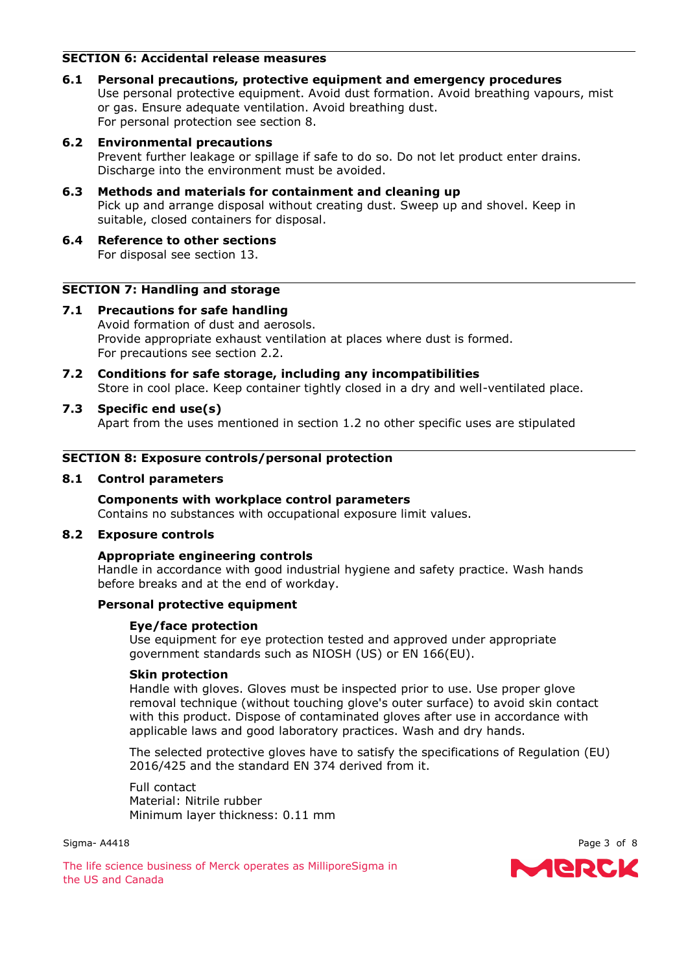# **SECTION 6: Accidental release measures**

**6.1 Personal precautions, protective equipment and emergency procedures** Use personal protective equipment. Avoid dust formation. Avoid breathing vapours, mist or gas. Ensure adequate ventilation. Avoid breathing dust. For personal protection see section 8.

# **6.2 Environmental precautions**

Prevent further leakage or spillage if safe to do so. Do not let product enter drains. Discharge into the environment must be avoided.

- **6.3 Methods and materials for containment and cleaning up** Pick up and arrange disposal without creating dust. Sweep up and shovel. Keep in suitable, closed containers for disposal.
- **6.4 Reference to other sections** For disposal see section 13.

# **SECTION 7: Handling and storage**

- **7.1 Precautions for safe handling** Avoid formation of dust and aerosols. Provide appropriate exhaust ventilation at places where dust is formed. For precautions see section 2.2.
- **7.2 Conditions for safe storage, including any incompatibilities** Store in cool place. Keep container tightly closed in a dry and well-ventilated place.

# **7.3 Specific end use(s)**

Apart from the uses mentioned in section 1.2 no other specific uses are stipulated

# **SECTION 8: Exposure controls/personal protection**

# **8.1 Control parameters**

### **Components with workplace control parameters** Contains no substances with occupational exposure limit values.

# **8.2 Exposure controls**

# **Appropriate engineering controls**

Handle in accordance with good industrial hygiene and safety practice. Wash hands before breaks and at the end of workday.

# **Personal protective equipment**

# **Eye/face protection**

Use equipment for eye protection tested and approved under appropriate government standards such as NIOSH (US) or EN 166(EU).

# **Skin protection**

Handle with gloves. Gloves must be inspected prior to use. Use proper glove removal technique (without touching glove's outer surface) to avoid skin contact with this product. Dispose of contaminated gloves after use in accordance with applicable laws and good laboratory practices. Wash and dry hands.

The selected protective gloves have to satisfy the specifications of Regulation (EU) 2016/425 and the standard EN 374 derived from it.

Full contact Material: Nitrile rubber Minimum layer thickness: 0.11 mm

Sigma- A4418 **Page 3 of 8** 

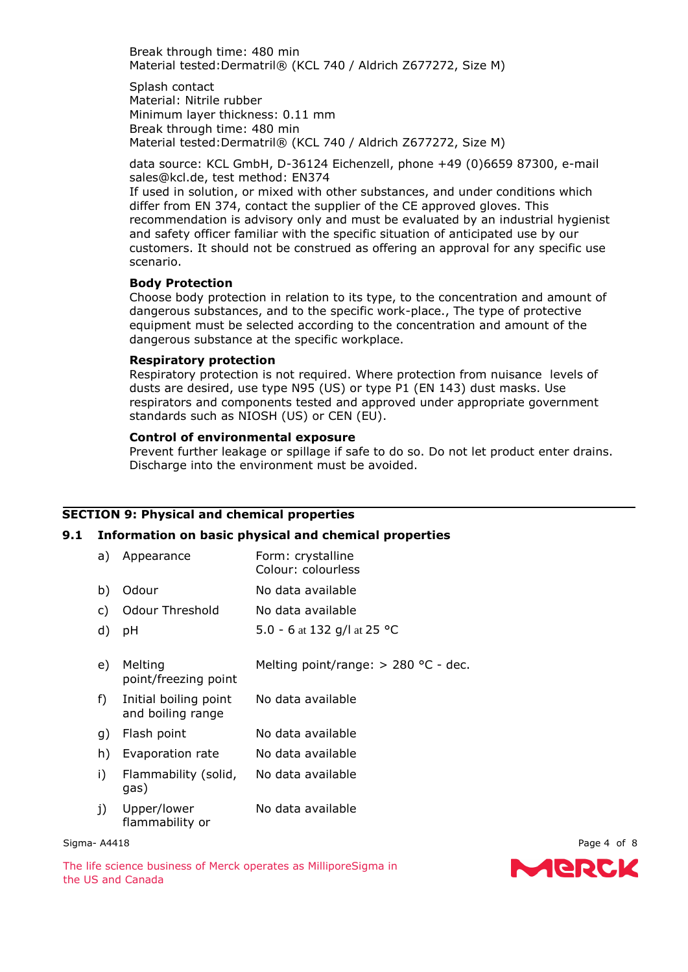Break through time: 480 min Material tested:Dermatril® (KCL 740 / Aldrich Z677272, Size M)

Splash contact Material: Nitrile rubber Minimum layer thickness: 0.11 mm Break through time: 480 min Material tested:Dermatril® (KCL 740 / Aldrich Z677272, Size M)

data source: KCL GmbH, D-36124 Eichenzell, phone +49 (0)6659 87300, e-mail sales@kcl.de, test method: EN374

If used in solution, or mixed with other substances, and under conditions which differ from EN 374, contact the supplier of the CE approved gloves. This recommendation is advisory only and must be evaluated by an industrial hygienist and safety officer familiar with the specific situation of anticipated use by our customers. It should not be construed as offering an approval for any specific use scenario.

#### **Body Protection**

Choose body protection in relation to its type, to the concentration and amount of dangerous substances, and to the specific work-place., The type of protective equipment must be selected according to the concentration and amount of the dangerous substance at the specific workplace.

### **Respiratory protection**

Respiratory protection is not required. Where protection from nuisance levels of dusts are desired, use type N95 (US) or type P1 (EN 143) dust masks. Use respirators and components tested and approved under appropriate government standards such as NIOSH (US) or CEN (EU).

# **Control of environmental exposure**

Prevent further leakage or spillage if safe to do so. Do not let product enter drains. Discharge into the environment must be avoided.

# **SECTION 9: Physical and chemical properties**

# **9.1 Information on basic physical and chemical properties**

| a)    | Appearance                                 | Form: crystalline<br>Colour: colourless |
|-------|--------------------------------------------|-----------------------------------------|
| b)    | Odour                                      | No data available                       |
| C)    | <b>Odour Threshold</b>                     | No data available                       |
| d)    | рH                                         | 5.0 - 6 at 132 g/l at 25 °C             |
| e)    | Melting<br>point/freezing point            | Melting point/range: $> 280$ °C - dec.  |
| $f$ ) | Initial boiling point<br>and boiling range | No data available                       |
| g)    | Flash point                                | No data available                       |
| h)    | Evaporation rate                           | No data available                       |
| i)    | Flammability (solid,<br>gas)               | No data available                       |
| j)    | Upper/lower<br>flammability or             | No data available                       |

#### Sigma- A4418 **Page 4 of 8**

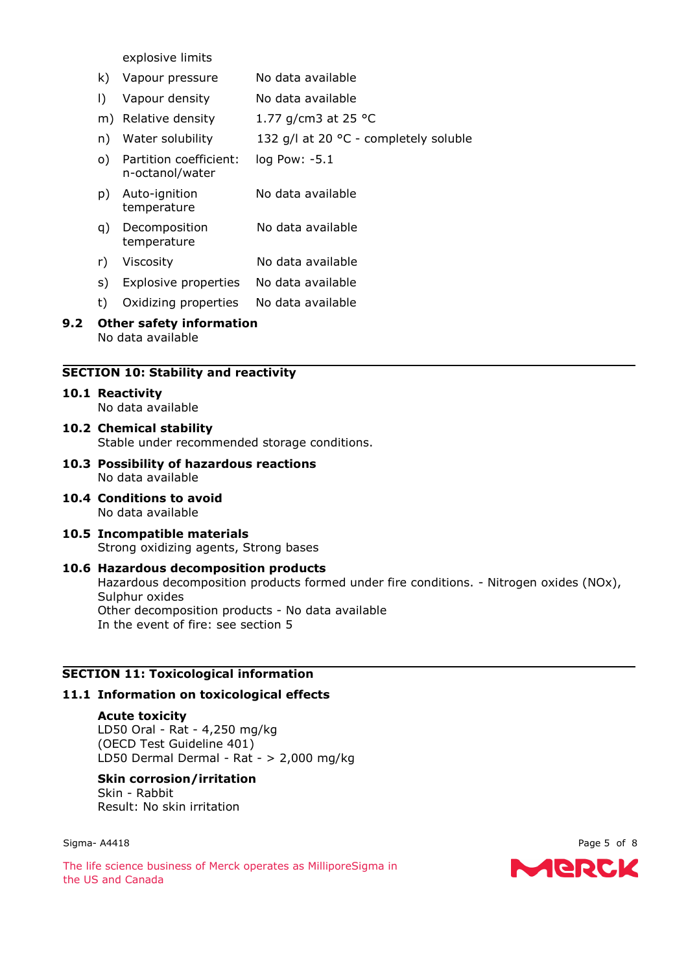explosive limits

- k) Vapour pressure No data available
- l) Vapour density No data available
- m) Relative density  $1.77$  g/cm3 at 25 °C
- n) Water solubility 132 g/l at 20 °C completely soluble
- o) Partition coefficient: n-octanol/water log Pow: -5.1
- p) Auto-ignition temperature No data available
- q) Decomposition temperature No data available
- r) Viscosity No data available
- s) Explosive properties No data available
- t) Oxidizing properties No data available
- **9.2 Other safety information** No data available

# **SECTION 10: Stability and reactivity**

#### **10.1 Reactivity** No data available

- **10.2 Chemical stability** Stable under recommended storage conditions.
- **10.3 Possibility of hazardous reactions** No data available
- **10.4 Conditions to avoid** No data available
- **10.5 Incompatible materials** Strong oxidizing agents, Strong bases
- **10.6 Hazardous decomposition products** Hazardous decomposition products formed under fire conditions. - Nitrogen oxides (NOx), Sulphur oxides Other decomposition products - No data available In the event of fire: see section 5

# **SECTION 11: Toxicological information**

# **11.1 Information on toxicological effects**

# **Acute toxicity**

LD50 Oral - Rat - 4,250 mg/kg (OECD Test Guideline 401) LD50 Dermal Dermal - Rat - > 2,000 mg/kg

# **Skin corrosion/irritation**

Skin - Rabbit Result: No skin irritation

#### Sigma- A4418 **Page 5 of 8**

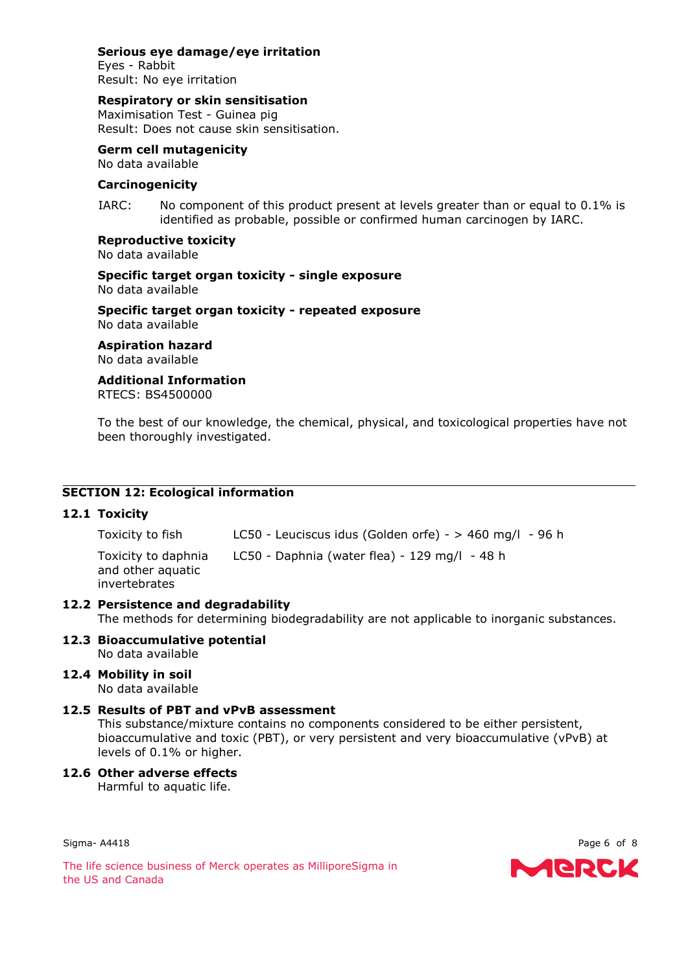# **Serious eye damage/eye irritation**

Eyes - Rabbit Result: No eye irritation

# **Respiratory or skin sensitisation**

Maximisation Test - Guinea pig Result: Does not cause skin sensitisation.

# **Germ cell mutagenicity**

No data available

# **Carcinogenicity**

IARC: No component of this product present at levels greater than or equal to 0.1% is identified as probable, possible or confirmed human carcinogen by IARC.

# **Reproductive toxicity**

No data available

**Specific target organ toxicity - single exposure** No data available

**Specific target organ toxicity - repeated exposure** No data available

**Aspiration hazard** No data available

# **Additional Information**

RTECS: BS4500000

To the best of our knowledge, the chemical, physical, and toxicological properties have not been thoroughly investigated.

# **SECTION 12: Ecological information**

# **12.1 Toxicity**

Toxicity to fish LC50 - Leuciscus idus (Golden orfe) - > 460 mg/l - 96 h

Toxicity to daphnia LC50 - Daphnia (water flea) - 129 mg/l - 48 h

and other aquatic invertebrates

# **12.2 Persistence and degradability**

The methods for determining biodegradability are not applicable to inorganic substances.

#### **12.3 Bioaccumulative potential** No data available

**12.4 Mobility in soil** No data available

# **12.5 Results of PBT and vPvB assessment**

This substance/mixture contains no components considered to be either persistent, bioaccumulative and toxic (PBT), or very persistent and very bioaccumulative (vPvB) at levels of 0.1% or higher.

# **12.6 Other adverse effects**

Harmful to aquatic life.

Sigma- A4418 **Page 6 of 8** 

MERCK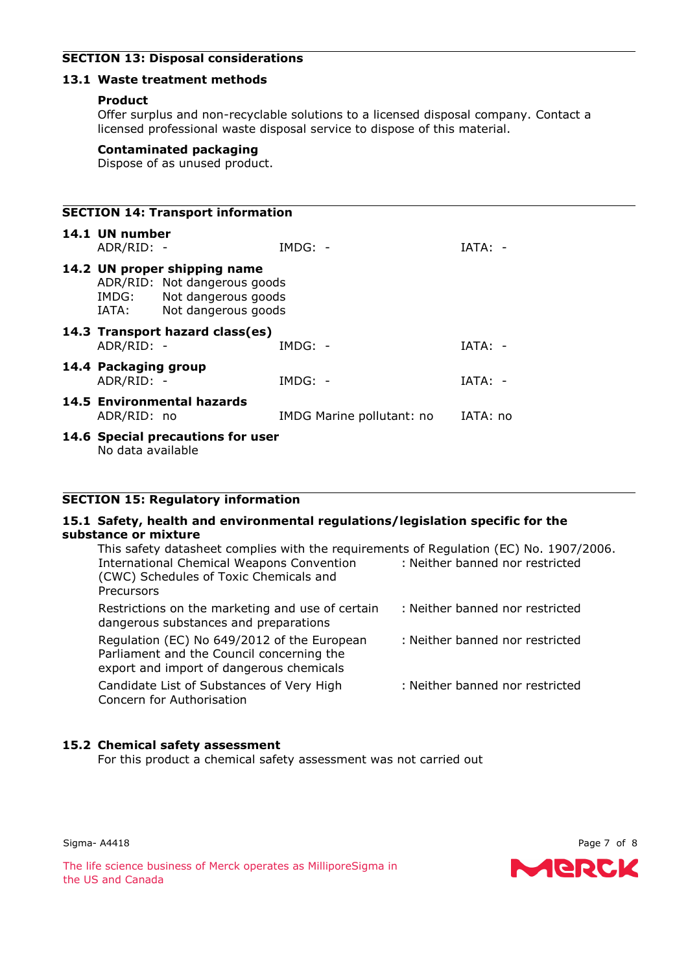# **SECTION 13: Disposal considerations**

### **13.1 Waste treatment methods**

### **Product**

Offer surplus and non-recyclable solutions to a licensed disposal company. Contact a licensed professional waste disposal service to dispose of this material.

### **Contaminated packaging**

Dispose of as unused product.

# **SECTION 14: Transport information 14.1 UN number** ADR/RID: - IMDG: - IATA: - **14.2 UN proper shipping name** ADR/RID: Not dangerous goods IMDG: Not dangerous goods IATA: Not dangerous goods **14.3 Transport hazard class(es)** ADR/RID: - IMDG: - IATA: - **14.4 Packaging group** ADR/RID: - IMDG: - IATA: - **14.5 Environmental hazards** ADR/RID: no IMDG Marine pollutant: no IATA: no **14.6 Special precautions for user** No data available

# **SECTION 15: Regulatory information**

### **15.1 Safety, health and environmental regulations/legislation specific for the substance or mixture**

| This safety datasheet complies with the requirements of Regulation (EC) No. 1907/2006.<br><b>International Chemical Weapons Convention</b><br>(CWC) Schedules of Toxic Chemicals and<br>Precursors | : Neither banned nor restricted |
|----------------------------------------------------------------------------------------------------------------------------------------------------------------------------------------------------|---------------------------------|
| Restrictions on the marketing and use of certain<br>dangerous substances and preparations                                                                                                          | : Neither banned nor restricted |
| Regulation (EC) No 649/2012 of the European<br>Parliament and the Council concerning the<br>export and import of dangerous chemicals                                                               | : Neither banned nor restricted |
| Candidate List of Substances of Very High<br>Concern for Authorisation                                                                                                                             | : Neither banned nor restricted |

# **15.2 Chemical safety assessment**

For this product a chemical safety assessment was not carried out